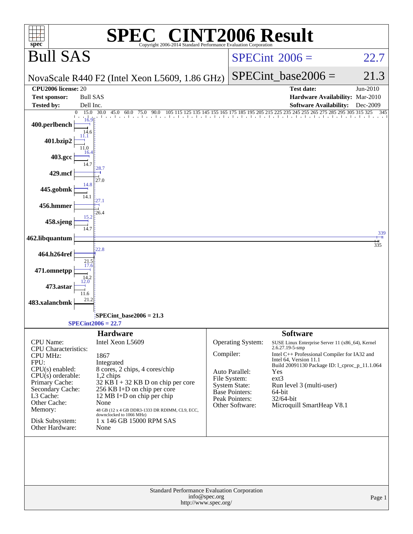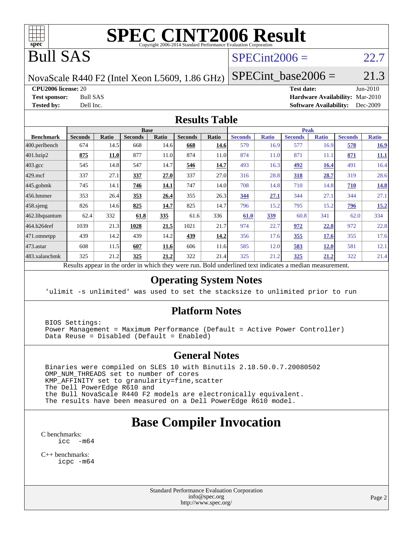

# **[SPEC CINT2006 Result](http://www.spec.org/auto/cpu2006/Docs/result-fields.html#SPECCINT2006Result)**

# Bull SAS

### $SPECint2006 = 22.7$  $SPECint2006 = 22.7$

NovaScale R440 F2 (Intel Xeon L5609, 1.86 GHz)

SPECint base2006 =  $21.3$ 

**[CPU2006 license:](http://www.spec.org/auto/cpu2006/Docs/result-fields.html#CPU2006license)** 20 **[Test date:](http://www.spec.org/auto/cpu2006/Docs/result-fields.html#Testdate)** Jun-2010

**[Test sponsor:](http://www.spec.org/auto/cpu2006/Docs/result-fields.html#Testsponsor)** Bull SAS **[Hardware Availability:](http://www.spec.org/auto/cpu2006/Docs/result-fields.html#HardwareAvailability)** Mar-2010 **[Tested by:](http://www.spec.org/auto/cpu2006/Docs/result-fields.html#Testedby)** Dell Inc. **[Software Availability:](http://www.spec.org/auto/cpu2006/Docs/result-fields.html#SoftwareAvailability)** Dec-2009

### **[Results Table](http://www.spec.org/auto/cpu2006/Docs/result-fields.html#ResultsTable)**

|                    |                |             |                | <b>Base</b> |                |       |                |              | <b>Peak</b>    |              |                |              |
|--------------------|----------------|-------------|----------------|-------------|----------------|-------|----------------|--------------|----------------|--------------|----------------|--------------|
| <b>Benchmark</b>   | <b>Seconds</b> | Ratio       | <b>Seconds</b> | Ratio       | <b>Seconds</b> | Ratio | <b>Seconds</b> | <b>Ratio</b> | <b>Seconds</b> | <b>Ratio</b> | <b>Seconds</b> | <b>Ratio</b> |
| 400.perlbench      | 674            | 14.5        | 668            | 14.6        | 668            | 14.6  | 579            | 16.9         | 577            | 16.9         | 578            | 16.9         |
| 401.bzip2          | 875            | <b>11.0</b> | 877            | 11.0        | 874            | 11.0  | 874            | 11.0         | 871            | 11.1         | 871            | <b>11.1</b>  |
| $403.\mathrm{gcc}$ | 545            | 14.8        | 547            | 14.7        | 546            | 14.7  | 493            | 16.3         | 492            | 16.4         | 491            | 16.4         |
| $429$ .mcf         | 337            | 27.1        | 337            | 27.0        | 337            | 27.0  | 316            | 28.8         | 318            | 28.7         | 319            | 28.6         |
| $445$ .gobmk       | 745            | 14.1        | 746            | 14.1        | 747            | 14.0  | 708            | 14.8         | 710            | 14.8         | 710            | <u>14.8</u>  |
| $456.$ hmmer       | 353            | 26.4        | 353            | 26.4        | 355            | 26.3  | 344            | 27.1         | 344            | 27.1         | 344            | 27.1         |
| $458$ .sjeng       | 826            | 14.6        | 825            | 14.7        | 825            | 14.7  | 796            | 15.2         | 795            | 15.2         | <u>796</u>     | 15.2         |
| 462.libquantum     | 62.4           | 332         | 61.8           | 335         | 61.6           | 336   | 61.0           | <u>339</u>   | 60.8           | 341          | 62.0           | 334          |
| 464.h264ref        | 1039           | 21.3        | 1028           | 21.5        | 1021           | 21.7  | 974            | 22.7         | 972            | 22.8         | 972            | 22.8         |
| 471.omnetpp        | 439            | 14.2        | 439            | 14.2        | 439            | 14.2  | 356            | 17.6         | 355            | 17.6         | 355            | 17.6         |
| $473$ . astar      | 608            | 11.5        | 607            | 11.6        | 606            | 11.6  | 585            | 12.0         | 583            | <u>12.0</u>  | 581            | 12.1         |
| 483.xalancbmk      | 325            | 21.2        | 325            | 21.2        | 322            | 21.4  | 325            | 21.2         | <u>325</u>     | <u>21.2</u>  | 322            | 21.4         |

Results appear in the [order in which they were run.](http://www.spec.org/auto/cpu2006/Docs/result-fields.html#RunOrder) Bold underlined text [indicates a median measurement.](http://www.spec.org/auto/cpu2006/Docs/result-fields.html#Median)

### **[Operating System Notes](http://www.spec.org/auto/cpu2006/Docs/result-fields.html#OperatingSystemNotes)**

'ulimit -s unlimited' was used to set the stacksize to unlimited prior to run

### **[Platform Notes](http://www.spec.org/auto/cpu2006/Docs/result-fields.html#PlatformNotes)**

 BIOS Settings: Power Management = Maximum Performance (Default = Active Power Controller) Data Reuse = Disabled (Default = Enabled)

### **[General Notes](http://www.spec.org/auto/cpu2006/Docs/result-fields.html#GeneralNotes)**

 Binaries were compiled on SLES 10 with Binutils 2.18.50.0.7.20080502 OMP\_NUM\_THREADS set to number of cores KMP\_AFFINITY set to granularity=fine,scatter The Dell PowerEdge R610 and the Bull NovaScale R440 F2 models are electronically equivalent. The results have been measured on a Dell PowerEdge R610 model.

## **[Base Compiler Invocation](http://www.spec.org/auto/cpu2006/Docs/result-fields.html#BaseCompilerInvocation)**

[C benchmarks](http://www.spec.org/auto/cpu2006/Docs/result-fields.html#Cbenchmarks): [icc -m64](http://www.spec.org/cpu2006/results/res2010q3/cpu2006-20100706-12242.flags.html#user_CCbase_intel_icc_64bit_f346026e86af2a669e726fe758c88044)

[C++ benchmarks:](http://www.spec.org/auto/cpu2006/Docs/result-fields.html#CXXbenchmarks) [icpc -m64](http://www.spec.org/cpu2006/results/res2010q3/cpu2006-20100706-12242.flags.html#user_CXXbase_intel_icpc_64bit_fc66a5337ce925472a5c54ad6a0de310)

> Standard Performance Evaluation Corporation [info@spec.org](mailto:info@spec.org) <http://www.spec.org/>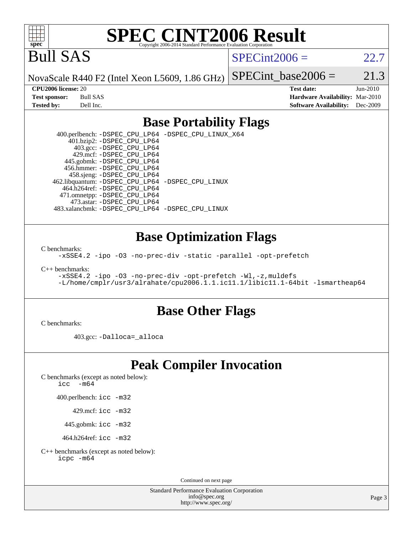

# **[SPEC CINT2006 Result](http://www.spec.org/auto/cpu2006/Docs/result-fields.html#SPECCINT2006Result)**

Bull SAS

 $SPECint2006 = 22.7$  $SPECint2006 = 22.7$ 

NovaScale R440 F2 (Intel Xeon L5609, 1.86 GHz)

SPECint base2006 =  $21.3$ 

**[CPU2006 license:](http://www.spec.org/auto/cpu2006/Docs/result-fields.html#CPU2006license)** 20 **[Test date:](http://www.spec.org/auto/cpu2006/Docs/result-fields.html#Testdate)** Jun-2010 **[Test sponsor:](http://www.spec.org/auto/cpu2006/Docs/result-fields.html#Testsponsor)** Bull SAS **[Hardware Availability:](http://www.spec.org/auto/cpu2006/Docs/result-fields.html#HardwareAvailability)** Mar-2010 **[Tested by:](http://www.spec.org/auto/cpu2006/Docs/result-fields.html#Testedby)** Dell Inc. **[Software Availability:](http://www.spec.org/auto/cpu2006/Docs/result-fields.html#SoftwareAvailability)** Dec-2009

### **[Base Portability Flags](http://www.spec.org/auto/cpu2006/Docs/result-fields.html#BasePortabilityFlags)**

 400.perlbench: [-DSPEC\\_CPU\\_LP64](http://www.spec.org/cpu2006/results/res2010q3/cpu2006-20100706-12242.flags.html#b400.perlbench_basePORTABILITY_DSPEC_CPU_LP64) [-DSPEC\\_CPU\\_LINUX\\_X64](http://www.spec.org/cpu2006/results/res2010q3/cpu2006-20100706-12242.flags.html#b400.perlbench_baseCPORTABILITY_DSPEC_CPU_LINUX_X64) 401.bzip2: [-DSPEC\\_CPU\\_LP64](http://www.spec.org/cpu2006/results/res2010q3/cpu2006-20100706-12242.flags.html#suite_basePORTABILITY401_bzip2_DSPEC_CPU_LP64) 403.gcc: [-DSPEC\\_CPU\\_LP64](http://www.spec.org/cpu2006/results/res2010q3/cpu2006-20100706-12242.flags.html#suite_basePORTABILITY403_gcc_DSPEC_CPU_LP64) 429.mcf: [-DSPEC\\_CPU\\_LP64](http://www.spec.org/cpu2006/results/res2010q3/cpu2006-20100706-12242.flags.html#suite_basePORTABILITY429_mcf_DSPEC_CPU_LP64) 445.gobmk: [-DSPEC\\_CPU\\_LP64](http://www.spec.org/cpu2006/results/res2010q3/cpu2006-20100706-12242.flags.html#suite_basePORTABILITY445_gobmk_DSPEC_CPU_LP64) 456.hmmer: [-DSPEC\\_CPU\\_LP64](http://www.spec.org/cpu2006/results/res2010q3/cpu2006-20100706-12242.flags.html#suite_basePORTABILITY456_hmmer_DSPEC_CPU_LP64) 458.sjeng: [-DSPEC\\_CPU\\_LP64](http://www.spec.org/cpu2006/results/res2010q3/cpu2006-20100706-12242.flags.html#suite_basePORTABILITY458_sjeng_DSPEC_CPU_LP64) 462.libquantum: [-DSPEC\\_CPU\\_LP64](http://www.spec.org/cpu2006/results/res2010q3/cpu2006-20100706-12242.flags.html#suite_basePORTABILITY462_libquantum_DSPEC_CPU_LP64) [-DSPEC\\_CPU\\_LINUX](http://www.spec.org/cpu2006/results/res2010q3/cpu2006-20100706-12242.flags.html#b462.libquantum_baseCPORTABILITY_DSPEC_CPU_LINUX) 464.h264ref: [-DSPEC\\_CPU\\_LP64](http://www.spec.org/cpu2006/results/res2010q3/cpu2006-20100706-12242.flags.html#suite_basePORTABILITY464_h264ref_DSPEC_CPU_LP64) 471.omnetpp: [-DSPEC\\_CPU\\_LP64](http://www.spec.org/cpu2006/results/res2010q3/cpu2006-20100706-12242.flags.html#suite_basePORTABILITY471_omnetpp_DSPEC_CPU_LP64) 473.astar: [-DSPEC\\_CPU\\_LP64](http://www.spec.org/cpu2006/results/res2010q3/cpu2006-20100706-12242.flags.html#suite_basePORTABILITY473_astar_DSPEC_CPU_LP64) 483.xalancbmk: [-DSPEC\\_CPU\\_LP64](http://www.spec.org/cpu2006/results/res2010q3/cpu2006-20100706-12242.flags.html#suite_basePORTABILITY483_xalancbmk_DSPEC_CPU_LP64) [-DSPEC\\_CPU\\_LINUX](http://www.spec.org/cpu2006/results/res2010q3/cpu2006-20100706-12242.flags.html#b483.xalancbmk_baseCXXPORTABILITY_DSPEC_CPU_LINUX)

### **[Base Optimization Flags](http://www.spec.org/auto/cpu2006/Docs/result-fields.html#BaseOptimizationFlags)**

[C benchmarks](http://www.spec.org/auto/cpu2006/Docs/result-fields.html#Cbenchmarks):

[-xSSE4.2](http://www.spec.org/cpu2006/results/res2010q3/cpu2006-20100706-12242.flags.html#user_CCbase_f-xSSE42_f91528193cf0b216347adb8b939d4107) [-ipo](http://www.spec.org/cpu2006/results/res2010q3/cpu2006-20100706-12242.flags.html#user_CCbase_f-ipo) [-O3](http://www.spec.org/cpu2006/results/res2010q3/cpu2006-20100706-12242.flags.html#user_CCbase_f-O3) [-no-prec-div](http://www.spec.org/cpu2006/results/res2010q3/cpu2006-20100706-12242.flags.html#user_CCbase_f-no-prec-div) [-static](http://www.spec.org/cpu2006/results/res2010q3/cpu2006-20100706-12242.flags.html#user_CCbase_f-static) [-parallel](http://www.spec.org/cpu2006/results/res2010q3/cpu2006-20100706-12242.flags.html#user_CCbase_f-parallel) [-opt-prefetch](http://www.spec.org/cpu2006/results/res2010q3/cpu2006-20100706-12242.flags.html#user_CCbase_f-opt-prefetch)

[C++ benchmarks:](http://www.spec.org/auto/cpu2006/Docs/result-fields.html#CXXbenchmarks)

[-xSSE4.2](http://www.spec.org/cpu2006/results/res2010q3/cpu2006-20100706-12242.flags.html#user_CXXbase_f-xSSE42_f91528193cf0b216347adb8b939d4107) [-ipo](http://www.spec.org/cpu2006/results/res2010q3/cpu2006-20100706-12242.flags.html#user_CXXbase_f-ipo) [-O3](http://www.spec.org/cpu2006/results/res2010q3/cpu2006-20100706-12242.flags.html#user_CXXbase_f-O3) [-no-prec-div](http://www.spec.org/cpu2006/results/res2010q3/cpu2006-20100706-12242.flags.html#user_CXXbase_f-no-prec-div) [-opt-prefetch](http://www.spec.org/cpu2006/results/res2010q3/cpu2006-20100706-12242.flags.html#user_CXXbase_f-opt-prefetch) [-Wl,-z,muldefs](http://www.spec.org/cpu2006/results/res2010q3/cpu2006-20100706-12242.flags.html#user_CXXbase_link_force_multiple1_74079c344b956b9658436fd1b6dd3a8a) [-L/home/cmplr/usr3/alrahate/cpu2006.1.1.ic11.1/libic11.1-64bit -lsmartheap64](http://www.spec.org/cpu2006/results/res2010q3/cpu2006-20100706-12242.flags.html#user_CXXbase_SmartHeap64_e2306cda84805d1ab360117a79ff779c)

### **[Base Other Flags](http://www.spec.org/auto/cpu2006/Docs/result-fields.html#BaseOtherFlags)**

[C benchmarks](http://www.spec.org/auto/cpu2006/Docs/result-fields.html#Cbenchmarks):

403.gcc: [-Dalloca=\\_alloca](http://www.spec.org/cpu2006/results/res2010q3/cpu2006-20100706-12242.flags.html#b403.gcc_baseEXTRA_CFLAGS_Dalloca_be3056838c12de2578596ca5467af7f3)

## **[Peak Compiler Invocation](http://www.spec.org/auto/cpu2006/Docs/result-fields.html#PeakCompilerInvocation)**

[C benchmarks \(except as noted below\)](http://www.spec.org/auto/cpu2006/Docs/result-fields.html#Cbenchmarksexceptasnotedbelow):

icc  $-m64$ 

400.perlbench: [icc -m32](http://www.spec.org/cpu2006/results/res2010q3/cpu2006-20100706-12242.flags.html#user_peakCCLD400_perlbench_intel_icc_32bit_a6a621f8d50482236b970c6ac5f55f93)

429.mcf: [icc -m32](http://www.spec.org/cpu2006/results/res2010q3/cpu2006-20100706-12242.flags.html#user_peakCCLD429_mcf_intel_icc_32bit_a6a621f8d50482236b970c6ac5f55f93)

445.gobmk: [icc -m32](http://www.spec.org/cpu2006/results/res2010q3/cpu2006-20100706-12242.flags.html#user_peakCCLD445_gobmk_intel_icc_32bit_a6a621f8d50482236b970c6ac5f55f93)

464.h264ref: [icc -m32](http://www.spec.org/cpu2006/results/res2010q3/cpu2006-20100706-12242.flags.html#user_peakCCLD464_h264ref_intel_icc_32bit_a6a621f8d50482236b970c6ac5f55f93)

[C++ benchmarks \(except as noted below\):](http://www.spec.org/auto/cpu2006/Docs/result-fields.html#CXXbenchmarksexceptasnotedbelow) [icpc -m64](http://www.spec.org/cpu2006/results/res2010q3/cpu2006-20100706-12242.flags.html#user_CXXpeak_intel_icpc_64bit_fc66a5337ce925472a5c54ad6a0de310)

Continued on next page

Standard Performance Evaluation Corporation [info@spec.org](mailto:info@spec.org) <http://www.spec.org/>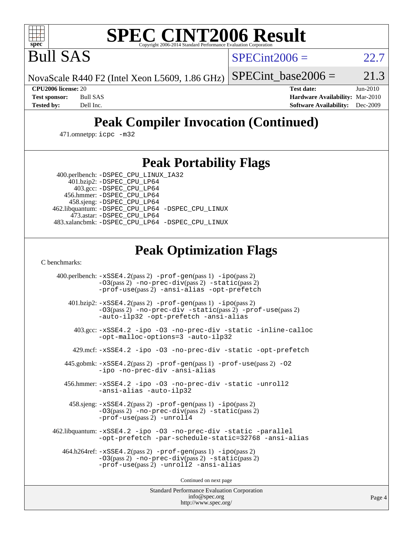

# **[SPEC CINT2006 Result](http://www.spec.org/auto/cpu2006/Docs/result-fields.html#SPECCINT2006Result)**

Bull SAS

 $SPECint2006 = 22.7$  $SPECint2006 = 22.7$ 

NovaScale R440 F2 (Intel Xeon L5609, 1.86 GHz) SPECint base2006 =  $21.3$ 

**[CPU2006 license:](http://www.spec.org/auto/cpu2006/Docs/result-fields.html#CPU2006license)** 20 **[Test date:](http://www.spec.org/auto/cpu2006/Docs/result-fields.html#Testdate)** Jun-2010 **[Test sponsor:](http://www.spec.org/auto/cpu2006/Docs/result-fields.html#Testsponsor)** Bull SAS **[Hardware Availability:](http://www.spec.org/auto/cpu2006/Docs/result-fields.html#HardwareAvailability)** Mar-2010 **[Tested by:](http://www.spec.org/auto/cpu2006/Docs/result-fields.html#Testedby)** Dell Inc. **[Software Availability:](http://www.spec.org/auto/cpu2006/Docs/result-fields.html#SoftwareAvailability)** Dec-2009

# **[Peak Compiler Invocation \(Continued\)](http://www.spec.org/auto/cpu2006/Docs/result-fields.html#PeakCompilerInvocation)**

471.omnetpp: [icpc -m32](http://www.spec.org/cpu2006/results/res2010q3/cpu2006-20100706-12242.flags.html#user_peakCXXLD471_omnetpp_intel_icpc_32bit_4e5a5ef1a53fd332b3c49e69c3330699)

### **[Peak Portability Flags](http://www.spec.org/auto/cpu2006/Docs/result-fields.html#PeakPortabilityFlags)**

400.perlbench: [-DSPEC\\_CPU\\_LINUX\\_IA32](http://www.spec.org/cpu2006/results/res2010q3/cpu2006-20100706-12242.flags.html#b400.perlbench_peakCPORTABILITY_DSPEC_CPU_LINUX_IA32)

 401.bzip2: [-DSPEC\\_CPU\\_LP64](http://www.spec.org/cpu2006/results/res2010q3/cpu2006-20100706-12242.flags.html#suite_peakPORTABILITY401_bzip2_DSPEC_CPU_LP64) 403.gcc: [-DSPEC\\_CPU\\_LP64](http://www.spec.org/cpu2006/results/res2010q3/cpu2006-20100706-12242.flags.html#suite_peakPORTABILITY403_gcc_DSPEC_CPU_LP64) 456.hmmer: [-DSPEC\\_CPU\\_LP64](http://www.spec.org/cpu2006/results/res2010q3/cpu2006-20100706-12242.flags.html#suite_peakPORTABILITY456_hmmer_DSPEC_CPU_LP64) 458.sjeng: [-DSPEC\\_CPU\\_LP64](http://www.spec.org/cpu2006/results/res2010q3/cpu2006-20100706-12242.flags.html#suite_peakPORTABILITY458_sjeng_DSPEC_CPU_LP64) 462.libquantum: [-DSPEC\\_CPU\\_LP64](http://www.spec.org/cpu2006/results/res2010q3/cpu2006-20100706-12242.flags.html#suite_peakPORTABILITY462_libquantum_DSPEC_CPU_LP64) [-DSPEC\\_CPU\\_LINUX](http://www.spec.org/cpu2006/results/res2010q3/cpu2006-20100706-12242.flags.html#b462.libquantum_peakCPORTABILITY_DSPEC_CPU_LINUX) 473.astar: [-DSPEC\\_CPU\\_LP64](http://www.spec.org/cpu2006/results/res2010q3/cpu2006-20100706-12242.flags.html#suite_peakPORTABILITY473_astar_DSPEC_CPU_LP64) 483.xalancbmk: [-DSPEC\\_CPU\\_LP64](http://www.spec.org/cpu2006/results/res2010q3/cpu2006-20100706-12242.flags.html#suite_peakPORTABILITY483_xalancbmk_DSPEC_CPU_LP64) [-DSPEC\\_CPU\\_LINUX](http://www.spec.org/cpu2006/results/res2010q3/cpu2006-20100706-12242.flags.html#b483.xalancbmk_peakCXXPORTABILITY_DSPEC_CPU_LINUX)

## **[Peak Optimization Flags](http://www.spec.org/auto/cpu2006/Docs/result-fields.html#PeakOptimizationFlags)**

[C benchmarks](http://www.spec.org/auto/cpu2006/Docs/result-fields.html#Cbenchmarks):

 400.perlbench: [-xSSE4.2](http://www.spec.org/cpu2006/results/res2010q3/cpu2006-20100706-12242.flags.html#user_peakPASS2_CFLAGSPASS2_LDCFLAGS400_perlbench_f-xSSE42_f91528193cf0b216347adb8b939d4107)(pass 2) [-prof-gen](http://www.spec.org/cpu2006/results/res2010q3/cpu2006-20100706-12242.flags.html#user_peakPASS1_CFLAGSPASS1_LDCFLAGS400_perlbench_prof_gen_e43856698f6ca7b7e442dfd80e94a8fc)(pass 1) [-ipo](http://www.spec.org/cpu2006/results/res2010q3/cpu2006-20100706-12242.flags.html#user_peakPASS2_CFLAGSPASS2_LDCFLAGS400_perlbench_f-ipo)(pass 2) [-O3](http://www.spec.org/cpu2006/results/res2010q3/cpu2006-20100706-12242.flags.html#user_peakPASS2_CFLAGSPASS2_LDCFLAGS400_perlbench_f-O3)(pass 2) [-no-prec-div](http://www.spec.org/cpu2006/results/res2010q3/cpu2006-20100706-12242.flags.html#user_peakPASS2_CFLAGSPASS2_LDCFLAGS400_perlbench_f-no-prec-div)(pass 2) [-static](http://www.spec.org/cpu2006/results/res2010q3/cpu2006-20100706-12242.flags.html#user_peakPASS2_CFLAGSPASS2_LDCFLAGS400_perlbench_f-static)(pass 2) [-prof-use](http://www.spec.org/cpu2006/results/res2010q3/cpu2006-20100706-12242.flags.html#user_peakPASS2_CFLAGSPASS2_LDCFLAGS400_perlbench_prof_use_bccf7792157ff70d64e32fe3e1250b55)(pass 2) [-ansi-alias](http://www.spec.org/cpu2006/results/res2010q3/cpu2006-20100706-12242.flags.html#user_peakCOPTIMIZE400_perlbench_f-ansi-alias) [-opt-prefetch](http://www.spec.org/cpu2006/results/res2010q3/cpu2006-20100706-12242.flags.html#user_peakCOPTIMIZE400_perlbench_f-opt-prefetch) 401.bzip2: [-xSSE4.2](http://www.spec.org/cpu2006/results/res2010q3/cpu2006-20100706-12242.flags.html#user_peakPASS2_CFLAGSPASS2_LDCFLAGS401_bzip2_f-xSSE42_f91528193cf0b216347adb8b939d4107)(pass 2) [-prof-gen](http://www.spec.org/cpu2006/results/res2010q3/cpu2006-20100706-12242.flags.html#user_peakPASS1_CFLAGSPASS1_LDCFLAGS401_bzip2_prof_gen_e43856698f6ca7b7e442dfd80e94a8fc)(pass 1) [-ipo](http://www.spec.org/cpu2006/results/res2010q3/cpu2006-20100706-12242.flags.html#user_peakPASS2_CFLAGSPASS2_LDCFLAGS401_bzip2_f-ipo)(pass 2) [-O3](http://www.spec.org/cpu2006/results/res2010q3/cpu2006-20100706-12242.flags.html#user_peakPASS2_CFLAGSPASS2_LDCFLAGS401_bzip2_f-O3)(pass 2) [-no-prec-div](http://www.spec.org/cpu2006/results/res2010q3/cpu2006-20100706-12242.flags.html#user_peakCOPTIMIZEPASS2_CFLAGSPASS2_LDCFLAGS401_bzip2_f-no-prec-div) [-static](http://www.spec.org/cpu2006/results/res2010q3/cpu2006-20100706-12242.flags.html#user_peakPASS2_CFLAGSPASS2_LDCFLAGS401_bzip2_f-static)(pass 2) [-prof-use](http://www.spec.org/cpu2006/results/res2010q3/cpu2006-20100706-12242.flags.html#user_peakPASS2_CFLAGSPASS2_LDCFLAGS401_bzip2_prof_use_bccf7792157ff70d64e32fe3e1250b55)(pass 2) [-auto-ilp32](http://www.spec.org/cpu2006/results/res2010q3/cpu2006-20100706-12242.flags.html#user_peakCOPTIMIZE401_bzip2_f-auto-ilp32) [-opt-prefetch](http://www.spec.org/cpu2006/results/res2010q3/cpu2006-20100706-12242.flags.html#user_peakCOPTIMIZE401_bzip2_f-opt-prefetch) [-ansi-alias](http://www.spec.org/cpu2006/results/res2010q3/cpu2006-20100706-12242.flags.html#user_peakCOPTIMIZE401_bzip2_f-ansi-alias) 403.gcc: [-xSSE4.2](http://www.spec.org/cpu2006/results/res2010q3/cpu2006-20100706-12242.flags.html#user_peakCOPTIMIZE403_gcc_f-xSSE42_f91528193cf0b216347adb8b939d4107) [-ipo](http://www.spec.org/cpu2006/results/res2010q3/cpu2006-20100706-12242.flags.html#user_peakCOPTIMIZE403_gcc_f-ipo) [-O3](http://www.spec.org/cpu2006/results/res2010q3/cpu2006-20100706-12242.flags.html#user_peakCOPTIMIZE403_gcc_f-O3) [-no-prec-div](http://www.spec.org/cpu2006/results/res2010q3/cpu2006-20100706-12242.flags.html#user_peakCOPTIMIZE403_gcc_f-no-prec-div) [-static](http://www.spec.org/cpu2006/results/res2010q3/cpu2006-20100706-12242.flags.html#user_peakCOPTIMIZE403_gcc_f-static) [-inline-calloc](http://www.spec.org/cpu2006/results/res2010q3/cpu2006-20100706-12242.flags.html#user_peakCOPTIMIZE403_gcc_f-inline-calloc) [-opt-malloc-options=3](http://www.spec.org/cpu2006/results/res2010q3/cpu2006-20100706-12242.flags.html#user_peakCOPTIMIZE403_gcc_f-opt-malloc-options_13ab9b803cf986b4ee62f0a5998c2238) [-auto-ilp32](http://www.spec.org/cpu2006/results/res2010q3/cpu2006-20100706-12242.flags.html#user_peakCOPTIMIZE403_gcc_f-auto-ilp32) 429.mcf: [-xSSE4.2](http://www.spec.org/cpu2006/results/res2010q3/cpu2006-20100706-12242.flags.html#user_peakCOPTIMIZE429_mcf_f-xSSE42_f91528193cf0b216347adb8b939d4107) [-ipo](http://www.spec.org/cpu2006/results/res2010q3/cpu2006-20100706-12242.flags.html#user_peakCOPTIMIZE429_mcf_f-ipo) [-O3](http://www.spec.org/cpu2006/results/res2010q3/cpu2006-20100706-12242.flags.html#user_peakCOPTIMIZE429_mcf_f-O3) [-no-prec-div](http://www.spec.org/cpu2006/results/res2010q3/cpu2006-20100706-12242.flags.html#user_peakCOPTIMIZE429_mcf_f-no-prec-div) [-static](http://www.spec.org/cpu2006/results/res2010q3/cpu2006-20100706-12242.flags.html#user_peakCOPTIMIZE429_mcf_f-static) [-opt-prefetch](http://www.spec.org/cpu2006/results/res2010q3/cpu2006-20100706-12242.flags.html#user_peakCOPTIMIZE429_mcf_f-opt-prefetch) 445.gobmk: [-xSSE4.2](http://www.spec.org/cpu2006/results/res2010q3/cpu2006-20100706-12242.flags.html#user_peakPASS2_CFLAGSPASS2_LDCFLAGS445_gobmk_f-xSSE42_f91528193cf0b216347adb8b939d4107)(pass 2) [-prof-gen](http://www.spec.org/cpu2006/results/res2010q3/cpu2006-20100706-12242.flags.html#user_peakPASS1_CFLAGSPASS1_LDCFLAGS445_gobmk_prof_gen_e43856698f6ca7b7e442dfd80e94a8fc)(pass 1) [-prof-use](http://www.spec.org/cpu2006/results/res2010q3/cpu2006-20100706-12242.flags.html#user_peakPASS2_CFLAGSPASS2_LDCFLAGS445_gobmk_prof_use_bccf7792157ff70d64e32fe3e1250b55)(pass 2) [-O2](http://www.spec.org/cpu2006/results/res2010q3/cpu2006-20100706-12242.flags.html#user_peakCOPTIMIZE445_gobmk_f-O2) [-ipo](http://www.spec.org/cpu2006/results/res2010q3/cpu2006-20100706-12242.flags.html#user_peakCOPTIMIZE445_gobmk_f-ipo) [-no-prec-div](http://www.spec.org/cpu2006/results/res2010q3/cpu2006-20100706-12242.flags.html#user_peakCOPTIMIZE445_gobmk_f-no-prec-div) [-ansi-alias](http://www.spec.org/cpu2006/results/res2010q3/cpu2006-20100706-12242.flags.html#user_peakCOPTIMIZE445_gobmk_f-ansi-alias) 456.hmmer: [-xSSE4.2](http://www.spec.org/cpu2006/results/res2010q3/cpu2006-20100706-12242.flags.html#user_peakCOPTIMIZE456_hmmer_f-xSSE42_f91528193cf0b216347adb8b939d4107) [-ipo](http://www.spec.org/cpu2006/results/res2010q3/cpu2006-20100706-12242.flags.html#user_peakCOPTIMIZE456_hmmer_f-ipo) [-O3](http://www.spec.org/cpu2006/results/res2010q3/cpu2006-20100706-12242.flags.html#user_peakCOPTIMIZE456_hmmer_f-O3) [-no-prec-div](http://www.spec.org/cpu2006/results/res2010q3/cpu2006-20100706-12242.flags.html#user_peakCOPTIMIZE456_hmmer_f-no-prec-div) [-static](http://www.spec.org/cpu2006/results/res2010q3/cpu2006-20100706-12242.flags.html#user_peakCOPTIMIZE456_hmmer_f-static) [-unroll2](http://www.spec.org/cpu2006/results/res2010q3/cpu2006-20100706-12242.flags.html#user_peakCOPTIMIZE456_hmmer_f-unroll_784dae83bebfb236979b41d2422d7ec2) [-ansi-alias](http://www.spec.org/cpu2006/results/res2010q3/cpu2006-20100706-12242.flags.html#user_peakCOPTIMIZE456_hmmer_f-ansi-alias) [-auto-ilp32](http://www.spec.org/cpu2006/results/res2010q3/cpu2006-20100706-12242.flags.html#user_peakCOPTIMIZE456_hmmer_f-auto-ilp32) 458.sjeng: [-xSSE4.2](http://www.spec.org/cpu2006/results/res2010q3/cpu2006-20100706-12242.flags.html#user_peakPASS2_CFLAGSPASS2_LDCFLAGS458_sjeng_f-xSSE42_f91528193cf0b216347adb8b939d4107)(pass 2) [-prof-gen](http://www.spec.org/cpu2006/results/res2010q3/cpu2006-20100706-12242.flags.html#user_peakPASS1_CFLAGSPASS1_LDCFLAGS458_sjeng_prof_gen_e43856698f6ca7b7e442dfd80e94a8fc)(pass 1) [-ipo](http://www.spec.org/cpu2006/results/res2010q3/cpu2006-20100706-12242.flags.html#user_peakPASS2_CFLAGSPASS2_LDCFLAGS458_sjeng_f-ipo)(pass 2) [-O3](http://www.spec.org/cpu2006/results/res2010q3/cpu2006-20100706-12242.flags.html#user_peakPASS2_CFLAGSPASS2_LDCFLAGS458_sjeng_f-O3)(pass 2) [-no-prec-div](http://www.spec.org/cpu2006/results/res2010q3/cpu2006-20100706-12242.flags.html#user_peakPASS2_CFLAGSPASS2_LDCFLAGS458_sjeng_f-no-prec-div)(pass 2) [-static](http://www.spec.org/cpu2006/results/res2010q3/cpu2006-20100706-12242.flags.html#user_peakPASS2_CFLAGSPASS2_LDCFLAGS458_sjeng_f-static)(pass 2) [-prof-use](http://www.spec.org/cpu2006/results/res2010q3/cpu2006-20100706-12242.flags.html#user_peakPASS2_CFLAGSPASS2_LDCFLAGS458_sjeng_prof_use_bccf7792157ff70d64e32fe3e1250b55)(pass 2) [-unroll4](http://www.spec.org/cpu2006/results/res2010q3/cpu2006-20100706-12242.flags.html#user_peakCOPTIMIZE458_sjeng_f-unroll_4e5e4ed65b7fd20bdcd365bec371b81f) 462.libquantum: [-xSSE4.2](http://www.spec.org/cpu2006/results/res2010q3/cpu2006-20100706-12242.flags.html#user_peakCOPTIMIZE462_libquantum_f-xSSE42_f91528193cf0b216347adb8b939d4107) [-ipo](http://www.spec.org/cpu2006/results/res2010q3/cpu2006-20100706-12242.flags.html#user_peakCOPTIMIZE462_libquantum_f-ipo) [-O3](http://www.spec.org/cpu2006/results/res2010q3/cpu2006-20100706-12242.flags.html#user_peakCOPTIMIZE462_libquantum_f-O3) [-no-prec-div](http://www.spec.org/cpu2006/results/res2010q3/cpu2006-20100706-12242.flags.html#user_peakCOPTIMIZE462_libquantum_f-no-prec-div) [-static](http://www.spec.org/cpu2006/results/res2010q3/cpu2006-20100706-12242.flags.html#user_peakCOPTIMIZE462_libquantum_f-static) [-parallel](http://www.spec.org/cpu2006/results/res2010q3/cpu2006-20100706-12242.flags.html#user_peakCOPTIMIZE462_libquantum_f-parallel) [-opt-prefetch](http://www.spec.org/cpu2006/results/res2010q3/cpu2006-20100706-12242.flags.html#user_peakCOPTIMIZE462_libquantum_f-opt-prefetch) [-par-schedule-static=32768](http://www.spec.org/cpu2006/results/res2010q3/cpu2006-20100706-12242.flags.html#user_peakCOPTIMIZE462_libquantum_f-par-schedule_9386bcd99ba64e99ee01d1aafefddd14) [-ansi-alias](http://www.spec.org/cpu2006/results/res2010q3/cpu2006-20100706-12242.flags.html#user_peakCOPTIMIZE462_libquantum_f-ansi-alias) 464.h264ref: [-xSSE4.2](http://www.spec.org/cpu2006/results/res2010q3/cpu2006-20100706-12242.flags.html#user_peakPASS2_CFLAGSPASS2_LDCFLAGS464_h264ref_f-xSSE42_f91528193cf0b216347adb8b939d4107)(pass 2) [-prof-gen](http://www.spec.org/cpu2006/results/res2010q3/cpu2006-20100706-12242.flags.html#user_peakPASS1_CFLAGSPASS1_LDCFLAGS464_h264ref_prof_gen_e43856698f6ca7b7e442dfd80e94a8fc)(pass 1) [-ipo](http://www.spec.org/cpu2006/results/res2010q3/cpu2006-20100706-12242.flags.html#user_peakPASS2_CFLAGSPASS2_LDCFLAGS464_h264ref_f-ipo)(pass 2) [-O3](http://www.spec.org/cpu2006/results/res2010q3/cpu2006-20100706-12242.flags.html#user_peakPASS2_CFLAGSPASS2_LDCFLAGS464_h264ref_f-O3)(pass 2) [-no-prec-div](http://www.spec.org/cpu2006/results/res2010q3/cpu2006-20100706-12242.flags.html#user_peakPASS2_CFLAGSPASS2_LDCFLAGS464_h264ref_f-no-prec-div)(pass 2) [-static](http://www.spec.org/cpu2006/results/res2010q3/cpu2006-20100706-12242.flags.html#user_peakPASS2_CFLAGSPASS2_LDCFLAGS464_h264ref_f-static)(pass 2) [-prof-use](http://www.spec.org/cpu2006/results/res2010q3/cpu2006-20100706-12242.flags.html#user_peakPASS2_CFLAGSPASS2_LDCFLAGS464_h264ref_prof_use_bccf7792157ff70d64e32fe3e1250b55)(pass 2) [-unroll2](http://www.spec.org/cpu2006/results/res2010q3/cpu2006-20100706-12242.flags.html#user_peakCOPTIMIZE464_h264ref_f-unroll_784dae83bebfb236979b41d2422d7ec2) [-ansi-alias](http://www.spec.org/cpu2006/results/res2010q3/cpu2006-20100706-12242.flags.html#user_peakCOPTIMIZE464_h264ref_f-ansi-alias)

Continued on next page

Standard Performance Evaluation Corporation [info@spec.org](mailto:info@spec.org) <http://www.spec.org/>